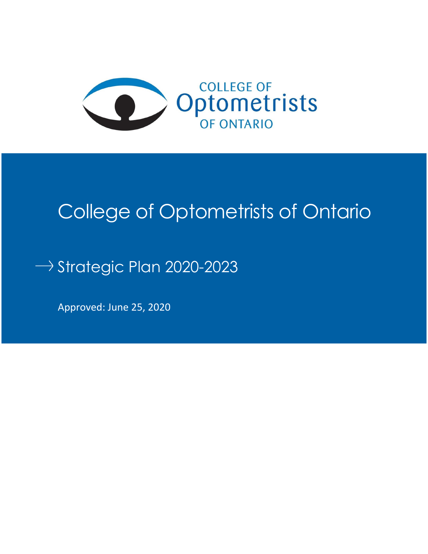

# College of Optometrists of Ontario

# $\rightarrow$  Strategic Plan 2020-2023

Approved: June 25, 2020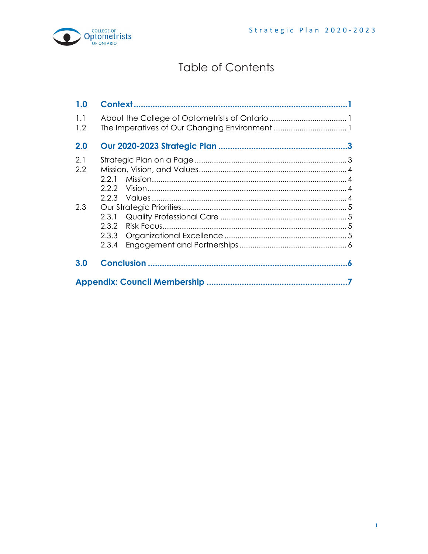

# **Table of Contents**

| 1.0        |                                  |  |  |
|------------|----------------------------------|--|--|
| 1.1<br>1.2 |                                  |  |  |
| 2.0        |                                  |  |  |
| 2.1<br>2.2 | 2.2.1<br>2.2.2<br>2.2.3          |  |  |
| 2.3        | 2.3.1<br>2.3.2<br>2.3.3<br>2.3.4 |  |  |
| 3.0        |                                  |  |  |
|            |                                  |  |  |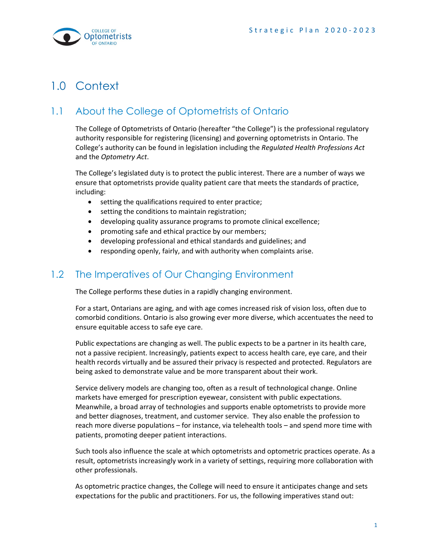

# <span id="page-2-1"></span><span id="page-2-0"></span>1.0 Context

# 1.1 About the College of Optometrists of Ontario

The College of Optometrists of Ontario (hereafter "the College") is the professional regulatory authority responsible for registering (licensing) and governing optometrists in Ontario. The College's authority can be found in legislation including the *Regulated Health Professions Act*  and the *Optometry Act*.

The College's legislated duty is to protect the public interest. There are a number of ways we ensure that optometrists provide quality patient care that meets the standards of practice, including:

- setting the qualifications required to enter practice;
- setting the conditions to maintain registration;
- developing quality assurance programs to promote clinical excellence;
- promoting safe and ethical practice by our members;
- developing professional and ethical standards and guidelines; and
- responding openly, fairly, and with authority when complaints arise.

## <span id="page-2-2"></span>1.2 The Imperatives of Our Changing Environment

The College performs these duties in a rapidly changing environment.

For a start, Ontarians are aging, and with age comes increased risk of vision loss, often due to comorbid conditions. Ontario is also growing ever more diverse, which accentuates the need to ensure equitable access to safe eye care.

Public expectations are changing as well. The public expects to be a partner in its health care, not a passive recipient. Increasingly, patients expect to access health care, eye care, and their health records virtually and be assured their privacy is respected and protected. Regulators are being asked to demonstrate value and be more transparent about their work.

Service delivery models are changing too, often as a result of technological change. Online markets have emerged for prescription eyewear, consistent with public expectations. Meanwhile, a broad array of technologies and supports enable optometrists to provide more and better diagnoses, treatment, and customer service. They also enable the profession to reach more diverse populations – for instance, via telehealth tools – and spend more time with patients, promoting deeper patient interactions.

Such tools also influence the scale at which optometrists and optometric practices operate. As a result, optometrists increasingly work in a variety of settings, requiring more collaboration with other professionals.

As optometric practice changes, the College will need to ensure it anticipates change and sets expectations for the public and practitioners. For us, the following imperatives stand out: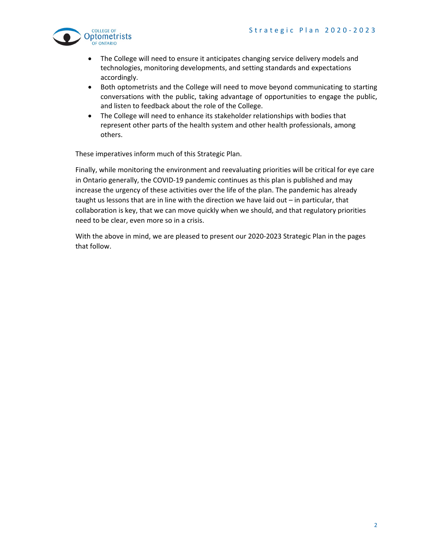

- The College will need to ensure it anticipates changing service delivery models and technologies, monitoring developments, and setting standards and expectations accordingly.
- Both optometrists and the College will need to move beyond communicating to starting conversations with the public, taking advantage of opportunities to engage the public, and listen to feedback about the role of the College.
- The College will need to enhance its stakeholder relationships with bodies that represent other parts of the health system and other health professionals, among others.

These imperatives inform much of this Strategic Plan.

Finally, while monitoring the environment and reevaluating priorities will be critical for eye care in Ontario generally, the COVID-19 pandemic continues as this plan is published and may increase the urgency of these activities over the life of the plan. The pandemic has already taught us lessons that are in line with the direction we have laid out – in particular, that collaboration is key, that we can move quickly when we should, and that regulatory priorities need to be clear, even more so in a crisis.

With the above in mind, we are pleased to present our 2020-2023 Strategic Plan in the pages that follow.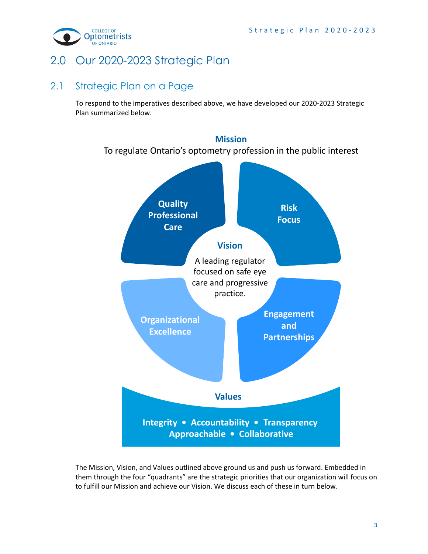

# <span id="page-4-1"></span><span id="page-4-0"></span>2.0 Our 2020-2023 Strategic Plan

### 2.1 Strategic Plan on a Page

To respond to the imperatives described above, we have developed our 2020-2023 Strategic Plan summarized below.



The Mission, Vision, and Values outlined above ground us and push us forward. Embedded in them through the four "quadrants" are the strategic priorities that our organization will focus on to fulfill our Mission and achieve our Vision. We discuss each of these in turn below.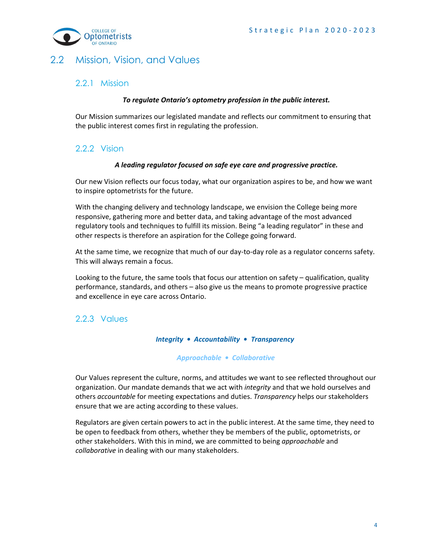

### <span id="page-5-1"></span><span id="page-5-0"></span>2.2 Mission, Vision, and Values

#### 2.2.1 Mission

#### *To regulate Ontario's optometry profession in the public interest.*

Our Mission summarizes our legislated mandate and reflects our commitment to ensuring that the public interest comes first in regulating the profession.

#### <span id="page-5-2"></span>2.2.2 Vision

#### *A leading regulator focused on safe eye care and progressive practice.*

Our new Vision reflects our focus today, what our organization aspires to be, and how we want to inspire optometrists for the future.

With the changing delivery and technology landscape, we envision the College being more responsive, gathering more and better data, and taking advantage of the most advanced regulatory tools and techniques to fulfill its mission. Being "a leading regulator" in these and other respects is therefore an aspiration for the College going forward.

At the same time, we recognize that much of our day-to-day role as a regulator concerns safety. This will always remain a focus.

Looking to the future, the same tools that focus our attention on safety – qualification, quality performance, standards, and others – also give us the means to promote progressive practice and excellence in eye care across Ontario.

#### <span id="page-5-3"></span>2.2.3 Values

#### *Integrity • Accountability • Transparency*

#### *Approachable • Collaborative*

Our Values represent the culture, norms, and attitudes we want to see reflected throughout our organization. Our mandate demands that we act with *integrity* and that we hold ourselves and others *accountable* for meeting expectations and duties. *Transparency* helps our stakeholders ensure that we are acting according to these values.

Regulators are given certain powers to act in the public interest. At the same time, they need to be open to feedback from others, whether they be members of the public, optometrists, or other stakeholders. With this in mind, we are committed to being *approachable* and *collaborative* in dealing with our many stakeholders.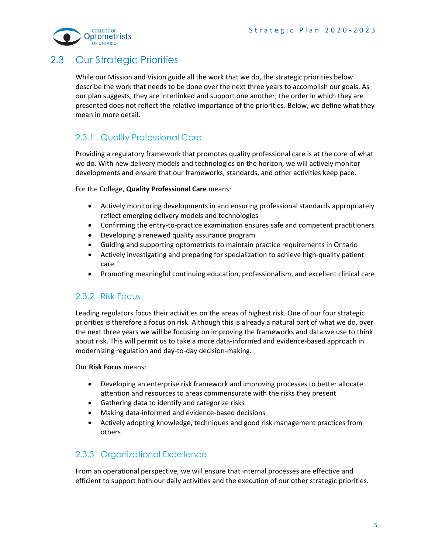

## <span id="page-6-0"></span>2.3 Our Strategic Priorities

While our Mission and Vision guide all the work that we do, the strategic priorities below describe the work that needs to be done over the next three years to accomplish our goals. As our plan suggests, they are interlinked and support one another; the order in which they are presented does not reflect the relative importance of the priorities. Below, we define what they mean in more detail.

### <span id="page-6-1"></span>2.3.1 Quality Professional Care

Providing a regulatory framework that promotes quality professional care is at the core of what we do. With new delivery models and technologies on the horizon, we will actively monitor developments and ensure that our frameworks, standards, and other activities keep pace.

For the College, **Quality Professional Care** means:

- Actively monitoring developments in and ensuring professional standards appropriately reflect emerging delivery models and technologies
- Confirming the entry-to-practice examination ensures safe and competent practitioners
- Developing a renewed quality assurance program
- Guiding and supporting optometrists to maintain practice requirements in Ontario
- Actively investigating and preparing for specialization to achieve high-quality patient care
- Promoting meaningful continuing education, professionalism, and excellent clinical care

### <span id="page-6-2"></span>2.3.2 Risk Focus

Leading regulators focus their activities on the areas of highest risk. One of our four strategic priorities is therefore a focus on risk. Although this is already a natural part of what we do, over the next three years we will be focusing on improving the frameworks and data we use to think about risk. This will permit us to take a more data-informed and evidence-based approach in modernizing regulation and day-to-day decision-making.

#### Our **Risk Focus** means:

- Developing an enterprise risk framework and improving processes to better allocate attention and resources to areas commensurate with the risks they present
- Gathering data to identify and categorize risks
- Making data-informed and evidence-based decisions
- Actively adopting knowledge, techniques and good risk management practices from others

### <span id="page-6-3"></span>2.3.3 Organizational Excellence

From an operational perspective, we will ensure that internal processes are effective and efficient to support both our daily activities and the execution of our other strategic priorities.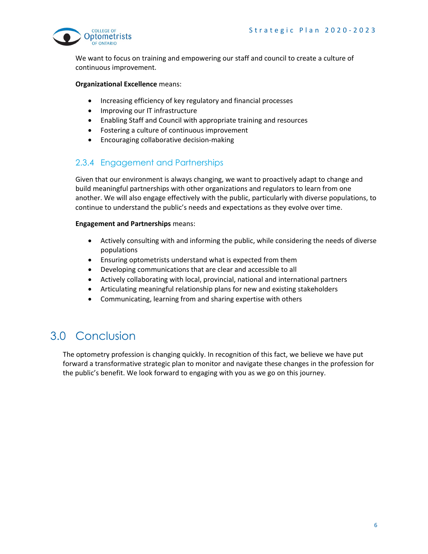

We want to focus on training and empowering our staff and council to create a culture of continuous improvement.

#### **Organizational Excellence** means:

- Increasing efficiency of key regulatory and financial processes
- Improving our IT infrastructure
- Enabling Staff and Council with appropriate training and resources
- Fostering a culture of continuous improvement
- Encouraging collaborative decision-making

#### <span id="page-7-0"></span>2.3.4 Engagement and Partnerships

Given that our environment is always changing, we want to proactively adapt to change and build meaningful partnerships with other organizations and regulators to learn from one another. We will also engage effectively with the public, particularly with diverse populations, to continue to understand the public's needs and expectations as they evolve over time.

#### **Engagement and Partnerships** means:

- Actively consulting with and informing the public, while considering the needs of diverse populations
- Ensuring optometrists understand what is expected from them
- Developing communications that are clear and accessible to all
- Actively collaborating with local, provincial, national and international partners
- Articulating meaningful relationship plans for new and existing stakeholders
- Communicating, learning from and sharing expertise with others

# <span id="page-7-1"></span>3.0 Conclusion

The optometry profession is changing quickly. In recognition of this fact, we believe we have put forward a transformative strategic plan to monitor and navigate these changes in the profession for the public's benefit. We look forward to engaging with you as we go on this journey.